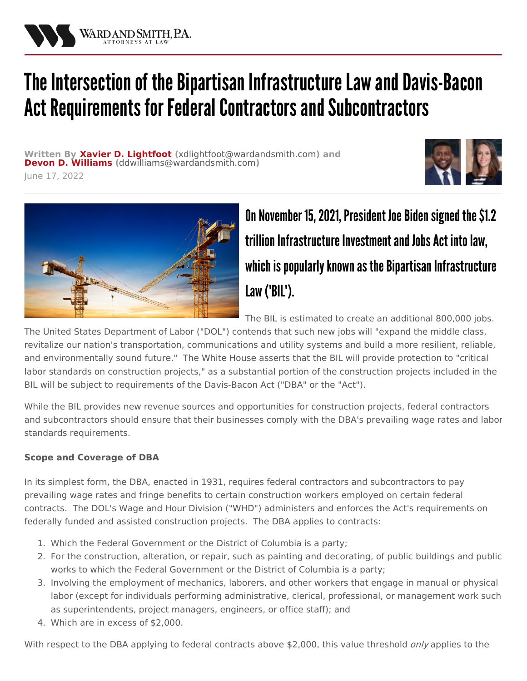

# The Intersection of the Bipartisan Infrastructure Law and Davis-Bacon Act Requirements for Federal Contractors and Subcontractors

**Written By Xavier D. [Lightfoot](/attorneys/xavier-lightfoot) (**[xdlightfoot@wardandsmith.com](mailto:xdlightfoot@wardandsmith.com)**) and Devon D. [Williams](/attorneys/devon-williams) (**[ddwilliams@wardandsmith.com](mailto:ddwilliams@wardandsmith.com)**)** June 17, 2022





# On November 15, 2021, President Joe Biden signed the \$1.2 trillion Infrastructure Investment and Jobs Act into law. which is popularly known as the Bipartisan Infrastructure Law ("BIL").

The BIL is estimated to create an additional 800,000 jobs.

The United States Department of Labor ("DOL") contends that such new jobs will "expand the middle class, revitalize our nation's transportation, communications and utility systems and build a more resilient, reliable, and environmentally sound future." The White House asserts that the BIL will provide protection to "critical labor standards on construction projects," as a substantial portion of the construction projects included in the BIL will be subject to requirements of the Davis-Bacon Act ("DBA" or the "Act").

While the BIL provides new revenue sources and opportunities for construction projects, federal contractors and subcontractors should ensure that their businesses comply with the DBA's prevailing wage rates and labor standards requirements.

## **Scope and Coverage of DBA**

In its simplest form, the DBA, enacted in 1931, requires federal contractors and subcontractors to pay prevailing wage rates and fringe benefits to certain construction workers employed on certain federal contracts. The DOL's Wage and Hour Division ("WHD") administers and enforces the Act's requirements on federally funded and assisted construction projects. The DBA applies to contracts:

- 1. Which the Federal Government or the District of Columbia is a party;
- 2. For the construction, alteration, or repair, such as painting and decorating, of public buildings and public works to which the Federal Government or the District of Columbia is a party;
- 3. Involving the employment of mechanics, laborers, and other workers that engage in manual or physical labor (except for individuals performing administrative, clerical, professional, or management work such as superintendents, project managers, engineers, or office staff); and
- 4. Which are in excess of \$2,000.

With respect to the DBA applying to federal contracts above \$2,000, this value threshold *only* applies to the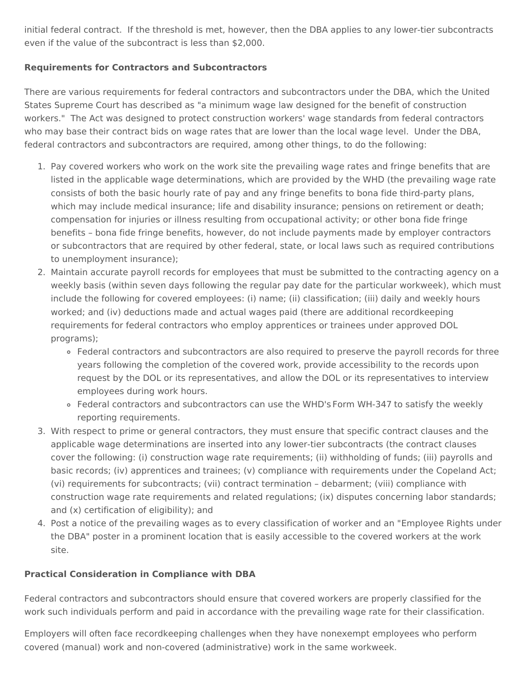initial federal contract. If the threshold is met, however, then the DBA applies to any lower-tier subcontracts even if the value of the subcontract is less than \$2,000.

#### **Requirements for Contractors and Subcontractors**

There are various requirements for federal contractors and subcontractors under the DBA, which the United States Supreme Court has described as "a minimum wage law designed for the benefit of construction workers." The Act was designed to protect construction workers' wage standards from federal contractors who may base their contract bids on wage rates that are lower than the local wage level. Under the DBA, federal contractors and subcontractors are required, among other things, to do the following:

- 1. Pay covered workers who work on the work site the prevailing wage rates and fringe benefits that are listed in the applicable wage determinations, which are provided by the WHD (the prevailing wage rate consists of both the basic hourly rate of pay and any fringe benefits to bona fide third-party plans, which may include medical insurance; life and disability insurance; pensions on retirement or death; compensation for injuries or illness resulting from occupational activity; or other bona fide fringe benefits – bona fide fringe benefits, however, do not include payments made by employer contractors or subcontractors that are required by other federal, state, or local laws such as required contributions to unemployment insurance);
- 2. Maintain accurate payroll records for employees that must be submitted to the contracting agency on a weekly basis (within seven days following the regular pay date for the particular workweek), which must include the following for covered employees: (i) name; (ii) classification; (iii) daily and weekly hours worked; and (iv) deductions made and actual wages paid (there are additional recordkeeping requirements for federal contractors who employ apprentices or trainees under approved DOL programs);
	- Federal contractors and subcontractors are also required to preserve the payroll records for three years following the completion of the covered work, provide accessibility to the records upon request by the DOL or its representatives, and allow the DOL or its representatives to interview employees during work hours.
	- Federal contractors and subcontractors can use the WHD's Form [WH-347](https://www.dol.gov/sites/dolgov/files/WHD/legacy/files/wh347.pdf) to satisfy the weekly reporting requirements.
- 3. With respect to prime or general contractors, they must ensure that specific contract clauses and the applicable wage determinations are inserted into any lower-tier subcontracts (the contract clauses cover the following: (i) construction wage rate requirements; (ii) withholding of funds; (iii) payrolls and basic records; (iv) apprentices and trainees; (v) compliance with requirements under the Copeland Act; (vi) requirements for subcontracts; (vii) contract termination – debarment; (viii) compliance with construction wage rate requirements and related regulations; (ix) disputes concerning labor standards; and (x) certification of eligibility); and
- 4. Post a notice of the prevailing wages as to every [classification](https://www.dol.gov/sites/dolgov/files/WHD/legacy/files/fedprojc.pdf) of worker and an "Employee Rights under the DBA" poster in a prominent location that is easily accessible to the covered workers at the work site.

### **Practical Consideration in Compliance with DBA**

Federal contractors and subcontractors should ensure that covered workers are properly classified for the work such individuals perform and paid in accordance with the prevailing wage rate for their classification.

Employers will often face recordkeeping challenges when they have nonexempt employees who perform covered (manual) work and non-covered (administrative) work in the same workweek.